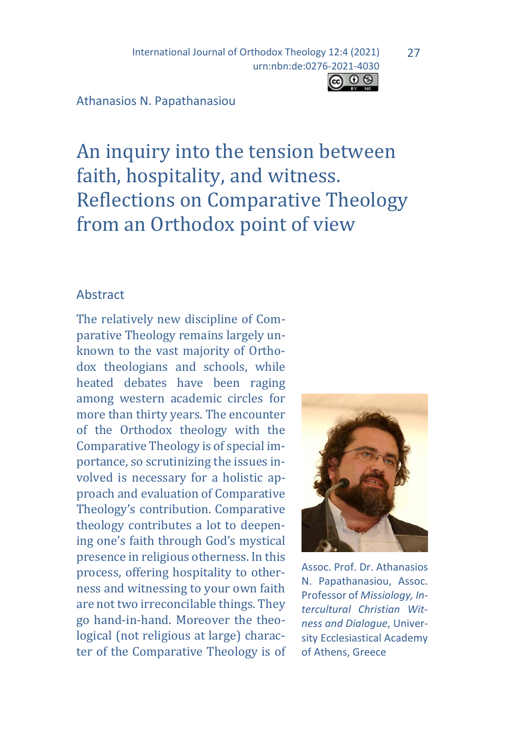International Journal of Orthodox Theology 12:4 (2021) urn:nbn:de:0276-2021-4030

#### Athanasios N. Papathanasiou

An inquiry into the tension between faith, hospitality, and witness. Reflections on Comparative Theology from an Orthodox point of view

### Abstract

The relatively new discipline of Comparative Theology remains largely unknown to the vast majority of Orthodox theologians and schools, while heated debates have been raging among western academic circles for more than thirty years. The encounter of the Orthodox theology with the Comparative Theology is of special importance, so scrutinizing the issues involved is necessary for a holistic approach and evaluation of Comparative Theology's contribution. Comparative theology contributes a lot to deepening one's faith through God's mystical presence in religious otherness. In this process, offering hospitality to otherness and witnessing to your own faith are not two irreconcilable things. They go hand-in-hand. Moreover the theological (not religious at large) character of the Comparative Theology is of



Assoc. Prof. Dr. Athanasios N. Papathanasiou, Assoc. Professor of *Missiology, Intercultural Christian Witness and Dialogue*, University Ecclesiastical Academy of Athens, Greece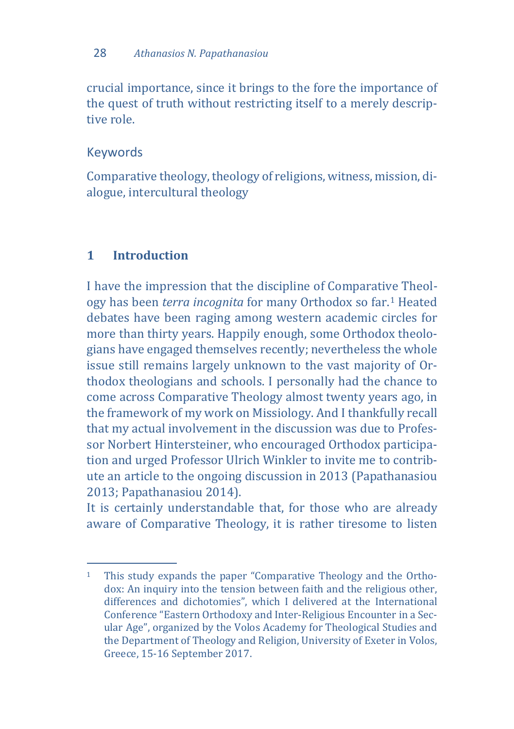crucial importance, since it brings to the fore the importance of the quest of truth without restricting itself to a merely descriptive role.

# Keywords

Comparative theology, theology of religions, witness, mission, dialogue, intercultural theology

# **1 Introduction**

I have the impression that the discipline of Comparati[ve](#page-1-0) Theology has been *terra incognita* for many Orthodox so far.1 Heated debates have been raging among western academic circles for more than thirty years. Happily enough, some Orthodox theologians have engaged themselves recently; nevertheless the whole issue still remains largely unknown to the vast majority of Orthodox theologians and schools. I personally had the chance to come across Comparative Theology almost twenty years ago, in the framework of my work on Missiology. And I thankfully recall that my actual involvement in the discussion was due to Professor Norbert Hintersteiner, who encouraged Orthodox participation and urged Professor Ulrich Winkler to invite me to contribute an article to the ongoing discussion in 2013 (Papathanasiou 2013; Papathanasiou 2014).

It is certainly understandable that, for those who are already aware of Comparative Theology, it is rather tiresome to listen

<span id="page-1-0"></span>j 1 This study expands the paper "Comparative Theology and the Orthodox: An inquiry into the tension between faith and the religious other, differences and dichotomies", which I delivered at the International Conference "Eastern Orthodoxy and Inter-Religious Encounter in a Secular Age", organized by the Volos Academy for Theological Studies and the Department of Theology and Religion, University of Exeter in Volos, Greece, 15-16 September 2017.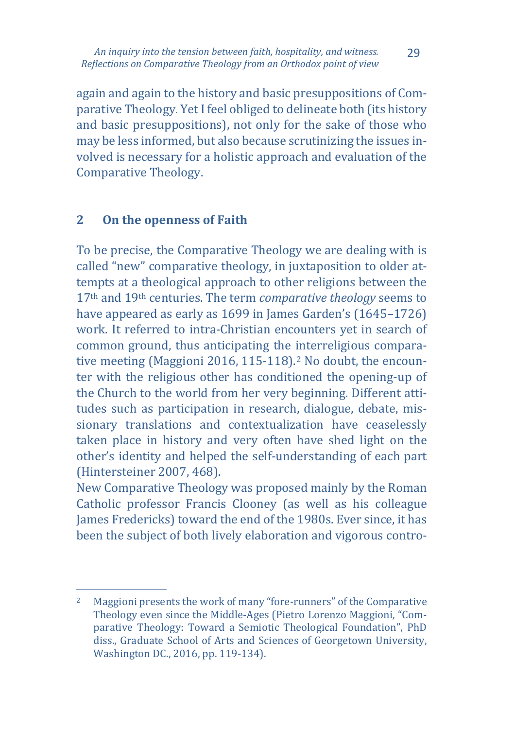again and again to the history and basic presuppositions of Comparative Theology. Yet I feel obliged to delineate both (its history and basic presuppositions), not only for the sake of those who may be less informed, but also because scrutinizing the issues involved is necessary for a holistic approach and evaluation of the Comparative Theology.

## **2 On the openness of Faith**

To be precise, the Comparative Theology we are dealing with is called "new" comparative theology, in juxtaposition to older attempts at a theological approach tο other religions between the 17th and 19th centuries. The term *comparative theology* seems to have appeared as early as 1699 in James Garden's (1645–1726) work. It referred to intra-Christian encounters yet in search of common ground, thus anticipating the interreligious compara-tive meeting (Maggioni [2](#page-2-0)016, 115-118).<sup>2</sup> No doubt, the encounter with the religious other has conditioned the opening-up of the Church to the world from her very beginning. Different attitudes such as participation in research, dialogue, debate, missionary translations and contextualization have ceaselessly taken place in history and very often have shed light on the other's identity and helped the self-understanding of each part (Hintersteiner 2007, 468).

New Comparative Theology was proposed mainly by the Roman Catholic professor Francis Clooney (as well as his colleague James Fredericks) toward the end of the 1980s. Ever since, it has been the subject of both lively elaboration and vigorous contro-

<span id="page-2-0"></span> $2^{\circ}$ <sup>2</sup> Maggioni presents the work of many "fore-runners" of the Comparative Theology even since the Middle-Ages (Pietro Lorenzo Maggioni, "Comparative Theology: Toward a Semiotic Theological Foundation", PhD diss., Graduate School of Arts and Sciences of Georgetown University, Washington DC., 2016, pp. 119-134).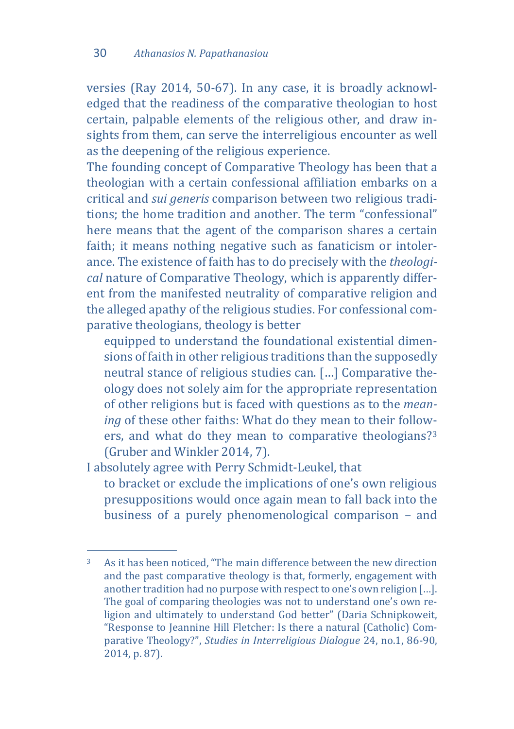versies (Ray 2014, 50-67). In any case, it is broadly acknowledged that the readiness of the comparative theologian to host certain, palpable elements of the religious other, and draw insights from them, can serve the interreligious encounter as well as the deepening of the religious experience.

Τhe founding concept of Comparative Theology has been that a theologian with a certain confessional affiliation embarks on a critical and *sui generis* comparison between two religious traditions; the home tradition and another. The term "confessional" here means that the agent of the comparison shares a certain faith; it means nothing negative such as fanaticism or intolerance. The existence of faith has to do precisely with the *theological* nature of Comparative Theology, which is apparently different from the manifested neutrality of comparative religion and the alleged apathy of the religious studies. For confessional comparative theologians, theology is better

equipped to understand the foundational existential dimensions of faith in other religious traditions than the supposedly neutral stance of religious studies can. […] Comparative theology does not solely aim for the appropriate representation of other religions but is faced with questions as to the *meaning* of these other faiths: What do they mean to their followers, and what do they mean to comparative theologians?[3](#page-3-0) (Gruber and Winkler 2014, 7).

I absolutely agree with Perry Schmidt-Leukel, that

to bracket or exclude the implications of one's own religious presuppositions would once again mean to fall back into the business of a purely phenomenological comparison – and

<span id="page-3-0"></span> $\overline{3}$ As it has been noticed, "The main difference between the new direction and the past comparative theology is that, formerly, engagement with another tradition had no purpose with respect to one's own religion […]. The goal of comparing theologies was not to understand one's own religion and ultimately to understand God better" (Daria Schnipkoweit, "Response to Jeannine Hill Fletcher: Is there a natural (Catholic) Comparative Theology?", *Studies in Interreligious Dialogue* 24, no.1, 86-90, 2014, p. 87).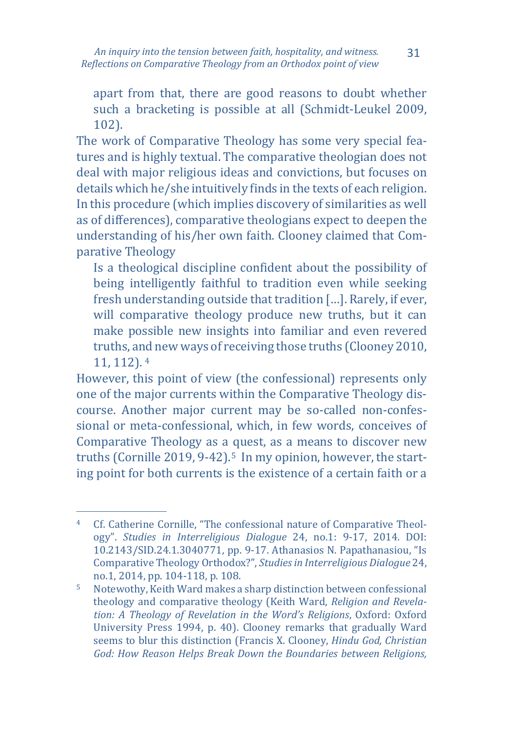apart from that, there are good reasons to doubt whether such a bracketing is possible at all (Schmidt-Leukel 2009, 102).

The work of Comparative Theology has some very special features and is highly textual. The comparative theologian does not deal with major religious ideas and convictions, but focuses on details which he/she intuitively finds in the texts of each religion. In this procedure (which implies discovery of similarities as well as of differences), comparative theologians expect to deepen the understanding of his/her own faith. Clooney claimed that Comparative Theology

Is a theological discipline confident about the possibility of being intelligently faithful to tradition even while seeking fresh understanding outside that tradition […]. Rarely, if ever, will comparative theology produce new truths, but it can make possible new insights into familiar and even revered truths, a[nd](#page-4-0) new ways of receiving those truths (Clooney 2010, 11, 112). <sup>4</sup>

However, this point of view (the confessional) represents only one of the major currents within the Comparative Theology discourse. Another major current may be so-called non-confessional or meta-confessional, which, in few words, conceives of Comparative Theology as a quest, as a means to discover new truths (Cornille 2019, 9-42).<sup>5</sup> In my opinion, however, the starting point for both currents is the existence of a certain faith or a

<span id="page-4-0"></span>j <sup>4</sup> Cf. Catherine Cornille, "The confessional nature of Comparative Theology". *Studies in Interreligious Dialogue* 24, no.1: 9-17, 2014. DOI: 10.2143/SID.24.1.3040771, pp. 9-17. Athanasios N. Papathanasiou, "Is Comparative Theology Orthodox?", *Studies in Interreligious Dialogue* 24, no.1, 2014, pp. 104-118, p. 108.

<span id="page-4-1"></span><sup>5</sup> Notewothy, Keith Ward makes a sharp distinction between confessional theology and comparative theology (Keith Ward, *Religion and Revelation: A Theology of Revelation in the Word's Religions*, Oxford: Oxford University Press 1994, p. 40). Clooney remarks that gradually Ward seems to blur this distinction (Francis X. Clooney, *Hindu God, Christian God: How Reason Helps Break Down the Boundaries between Religions,*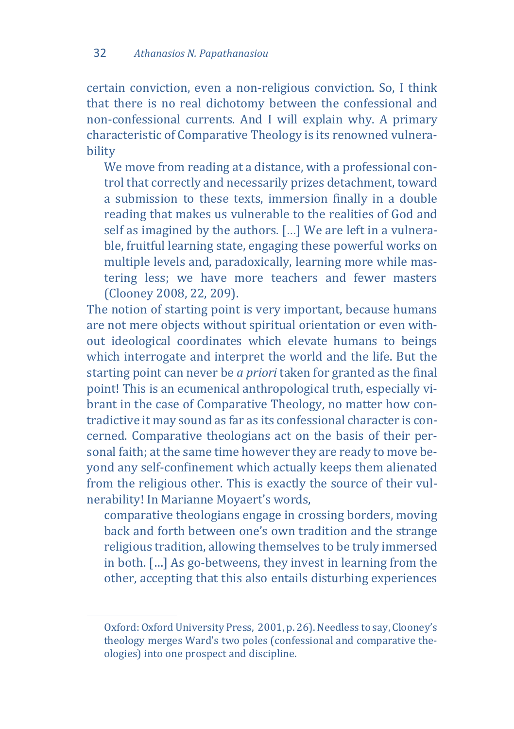certain conviction, even a non-religious conviction. So, I think that there is no real dichotomy between the confessional and non-confessional currents. And I will explain why. A primary characteristic of Comparative Theology is its renowned vulnerability

We move from reading at a distance, with a professional control that correctly and necessarily prizes detachment, toward a submission to these texts, immersion finally in a double reading that makes us vulnerable to the realities of God and self as imagined by the authors. […] We are left in a vulnerable, fruitful learning state, engaging these powerful works on multiple levels and, paradoxically, learning more while mastering less; we have more teachers and fewer masters (Clooney 2008, 22, 209).

The notion of starting point is very important, because humans are not mere objects without spiritual orientation or even without ideological coordinates which elevate humans to beings which interrogate and interpret the world and the life. But the starting point can never be *a priori* taken for granted as the final point! This is an ecumenical anthropological truth, especially vibrant in the case of Comparative Theology, no matter how contradictive it may sound as far as its confessional character is concerned. Comparative theologians act on the basis of their personal faith; at the same time however they are ready to move beyond any self-confinement which actually keeps them alienated from the religious other. This is exactly the source of their vulnerability! In Marianne Moyaert's words,

comparative theologians engage in crossing borders, moving back and forth between one's own tradition and the strange religious tradition, allowing themselves to be truly immersed in both. […] As go-betweens, they invest in learning from the other, accepting that this also entails disturbing experiences

j

Oxford: Oxford University Press, 2001, p. 26). Needless to say, Clooney's theology merges Ward's two poles (confessional and comparative theologies) into one prospect and discipline.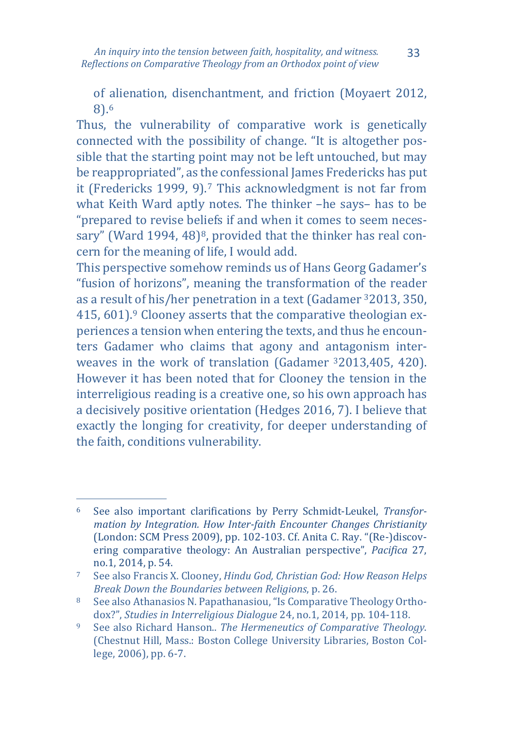of alienation, disenchantment, and friction (Moyaert 2012, 8).[6](#page-6-0)

Thus, the vulnerability of comparative work is genetically connected with the possibility of change. "Ιt is altogether possible that the starting point may not be left untouched, but may be reappropriated", as t[he](#page-6-1) confessional James Fredericks has put it (Fredericks 1999, 9).7 This acknowledgment is not far from what Keith Ward aptly notes. Τhe thinker –he says– has to be "prepared to revise beliefs if and when it comes to seem neces-sary" (Ward 1994, 4[8](#page-6-2))<sup>8</sup>, provided that the thinker has real concern for the meaning of life, I would add.

This perspective somehow reminds us of Hans Georg Gadamer's "fusion of horizons", meaning the transformation of the reader as a result [o](#page-6-3)f his/her penetration in a text (Gadamer 32013, 350, 415, 601).9 Clooney asserts that the comparative theologian experiences a tension when entering the texts, and thus he encounters Gadamer who claims that agony and antagonism interweaves in the work of translation (Gadamer 32013,405, 420). However it has been noted that for Clooney the tension in the interreligious reading is a creative one, so his own approach has a decisively positive orientation (Hedges 2016, 7). I believe that exactly the longing for creativity, for deeper understanding of the faith, conditions vulnerability.

<span id="page-6-0"></span> $6<sup>1</sup>$ <sup>6</sup> See also important clarifications by Perry Schmidt-Leukel, *Transformation by Integration. How Inter-faith Encounter Changes Christianity* (London: SCM Press 2009), pp. 102-103. Cf. Anita C. Ray. "(Re-)discovering comparative theology: An Australian perspective", *Pacifica* 27, no.1, 2014, p. 54.

<span id="page-6-1"></span><sup>7</sup> See also Francis X. Clooney, *Hindu God, Christian God: How Reason Helps Break Down the Boundaries between Religions*, p. 26.

<span id="page-6-2"></span><sup>8</sup> See also Athanasios N. Papathanasiou, "Is Comparative Theology Orthodox?", *Studies in Interreligious Dialogue* 24, no.1, 2014, pp. 104-118.

<span id="page-6-3"></span><sup>9</sup> See also Richard Hanson.. *The Hermeneutics of Comparative Theology*. (Chestnut Hill, Mass.: Boston College University Libraries, Boston College, 2006), pp. 6-7.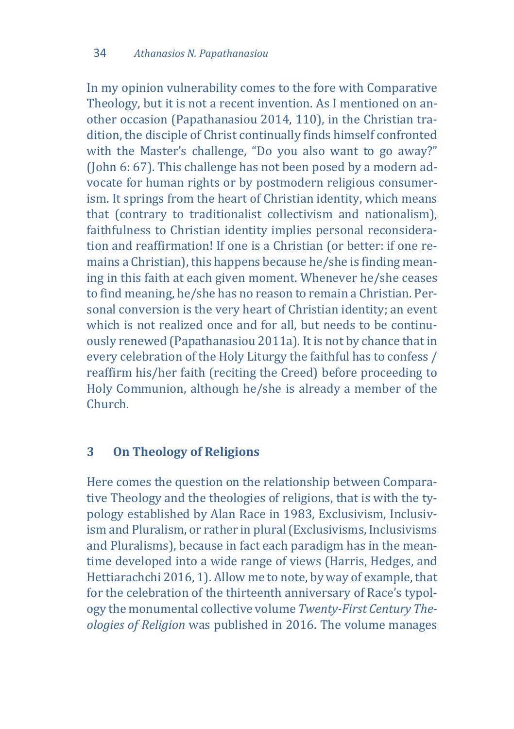In my opinion vulnerability comes to the fore with Comparative Theology, but it is not a recent invention. As I mentioned on another occasion (Papathanasiou 2014, 110), in the Christian tradition, the disciple of Christ continually finds himself confronted with the Master's challenge, "Do you also want to go away?" (John 6: 67). This challenge has not been posed by a modern advocate for human rights or by postmodern religious consumerism. It springs from the heart of Christian identity, which means that (contrary to traditionalist collectivism and nationalism), faithfulness to Christian identity implies personal reconsideration and reaffirmation! If one is a Christian (or better: if one remains a Christian), this happens because he/she is finding meaning in this faith at each given moment. Whenever he/she ceases to find meaning, he/she has no reason to remain a Christian. Personal conversion is the very heart of Christian identity; an event which is not realized once and for all, but needs to be continuously renewed (Papathanasiou 2011a). It is not by chance that in every celebration of the Holy Liturgy the faithful has to confess / reaffirm his/her faith (reciting the Creed) before proceeding to Holy Communion, although he/she is already a member of the Church.

## **3 On Theology of Religions**

Here comes the question on the relationship between Comparative Theology and the theologies of religions, that is with the typology established by Alan Race in 1983, Exclusivism, Inclusivism and Pluralism, or rather in plural (Exclusivisms, Inclusivisms and Pluralisms), because in fact each paradigm has in the meantime developed into a wide range of views (Harris, Hedges, and Hettiarachchi 2016, 1). Allow me to note, by way of example, that for the celebration of the thirteenth anniversary of Race's typology the monumental collective volume *Twenty-First Century Theologies of Religion* was published in 2016. The volume manages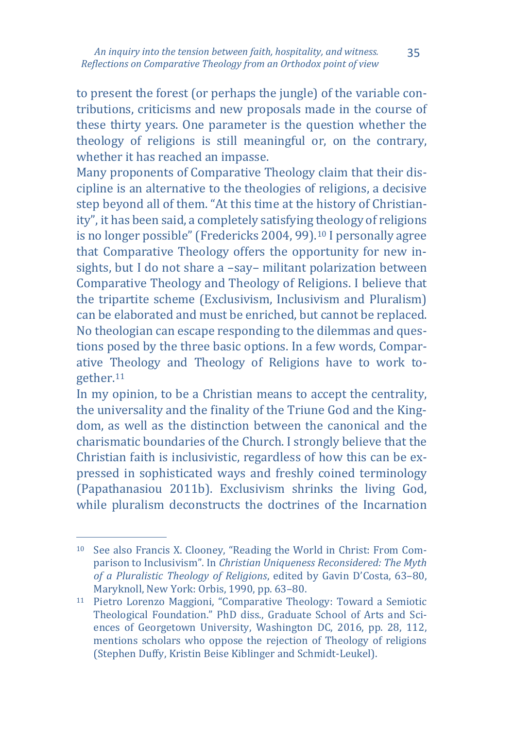to present the forest (or perhaps the jungle) of the variable contributions, criticisms and new proposals made in the course of these thirty years. One parameter is the question whether the theology of religions is still meaningful or, on the contrary, whether it has reached an impasse.

Many proponents of Comparative Theology claim that their discipline is an alternative to the theologies of religions, a decisive step beyond all of them. "At this time at the history of Christianity", it has been said, a completely satisfying theology of religions is no longer possible" (Fredericks 2004, 99).[10](#page-8-0) I personally agree that Comparative Theology offers the opportunity for new insights, but I do not share a –say– militant polarization between Comparative Theology and Theology of Religions. I believe that the tripartite scheme (Exclusivism, Inclusivism and Pluralism) can be elaborated and must be enriched, but cannot be replaced. No theologian can escape responding to the dilemmas and questions posed by the three basic options. In a few words, Comparative Theology and Theology of Religions have to work together.[11](#page-8-1)

In my opinion, to be a Christian means to accept the centrality, the universality and the finality of the Triune God and the Kingdom, as well as the distinction between the canonical and the charismatic boundaries of the Church. I strongly believe that the Christian faith is inclusivistic, regardless of how this can be expressed in sophisticated ways and freshly coined terminology (Papathanasiou 2011b). Exclusivism shrinks the living God, while pluralism deconstructs the doctrines of the Incarnation

<span id="page-8-0"></span>j <sup>10</sup> See also Francis X. Clooney, "Reading the World in Christ: From Comparison to Inclusivism". In *Christian Uniqueness Reconsidered: The Myth of a Pluralistic Theology of Religions*, edited by Gavin D'Costa, 63–80, Maryknoll, New York: Orbis, 1990, pp. 63–80.

<span id="page-8-1"></span><sup>11</sup> Pietro Lorenzo Maggioni, "Comparative Theology: Toward a Semiotic Theological Foundation." PhD diss., Graduate School of Arts and Sciences of Georgetown University, Washington DC, 2016, pp. 28, 112, mentions scholars who oppose the rejection of Theology of religions (Stephen Duffy, Kristin Beise Kiblinger and Schmidt-Leukel).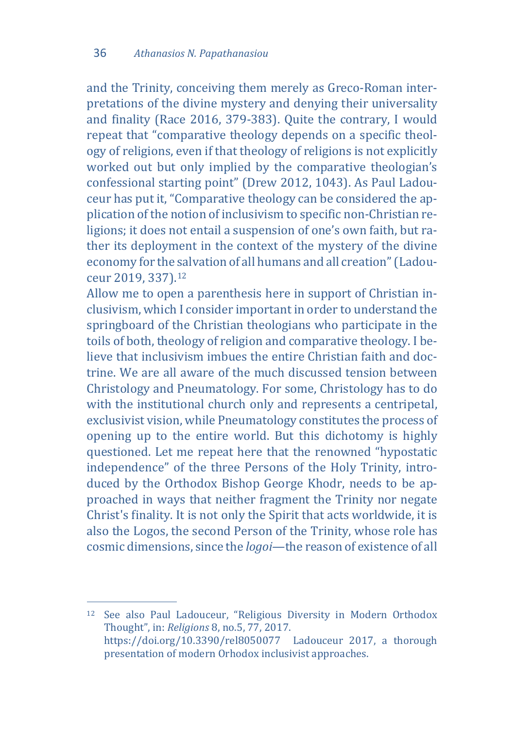and the Trinity, conceiving them merely as Greco-Roman interpretations of the divine mystery and denying their universality and finality (Race 2016, 379-383). Quite the contrary, I would repeat that "comparative theology depends on a specific theology of religions, even if that theology of religions is not explicitly worked out but only implied by the comparative theologian's confessional starting point" (Drew 2012, 1043). As Paul Ladouceur has put it, "Comparative theology can be considered the application of the notion of inclusivism to specific non-Christian religions; it does not entail a suspension of one's own faith, but rather its deployment in the context of the mystery of the divine economy for the salvation of all humans and all creation" (Ladouceur 2019, 337).[12](#page-9-0)

Allow me to open a parenthesis here in support of Christian inclusivism, which I consider important in order to understand the springboard of the Christian theologians who participate in the toils of both, theology of religion and comparative theology. I believe that inclusivism imbues the entire Christian faith and doctrine. We are all aware of the much discussed tension between Christology and Pneumatology. For some, Christology has to do with the institutional church only and represents a centripetal, exclusivist vision, while Pneumatology constitutes the process of opening up to the entire world. But this dichotomy is highly questioned. Let me repeat here that the renowned "hypostatic independence" of the three Persons of the Holy Trinity, introduced by the Orthodox Bishop George Khodr, needs to be approached in ways that neither fragment the Trinity nor negate Christ's finality. It is not only the Spirit that acts worldwide, it is also the Logos, the second Person of the Trinity, whose role has cosmic dimensions, since the *logoi*—the reason of existence of all

<span id="page-9-0"></span>j <sup>12</sup> See also Paul Ladouceur, "Religious Diversity in Modern Orthodox Thought", in: *Religions* 8, no.5, 77, 2017. https://doi.org/10.3390/rel8050077 Ladouceur 2017, a thorough presentation of modern Orhodox inclusivist approaches.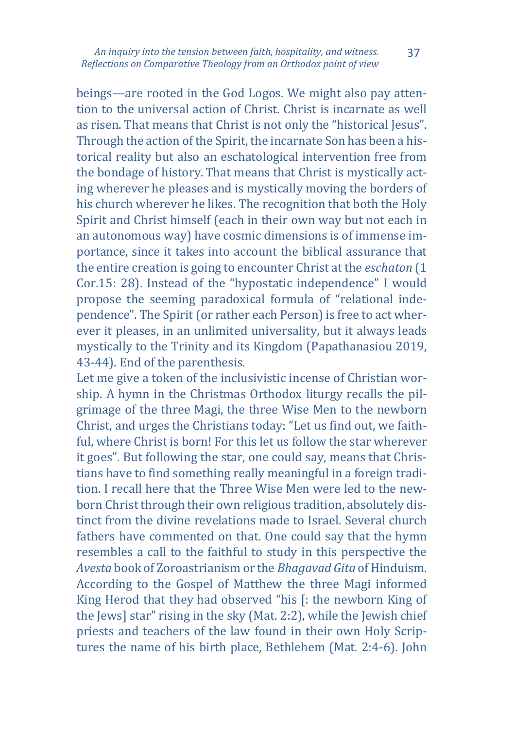*An inquiry into the tension between faith, hospitality, and witness. Reflections on Comparative Theology from an Orthodox point of view*

beings—are rooted in the God Logos. We might also pay attention to the universal action of Christ. Christ is incarnate as well as risen. That means that Christ is not only the "historical Jesus". Through the action of the Spirit, the incarnate Son has been a historical reality but also an eschatological intervention free from the bondage of history. That means that Christ is mystically acting wherever he pleases and is mystically moving the borders of his church wherever he likes. The recognition that both the Holy Spirit and Christ himself (each in their own way but not each in an autonomous way) have cosmic dimensions is of immense importance, since it takes into account the biblical assurance that the entire creation is going to encounter Christ at the *eschaton* (1 Cor.15: 28). Instead of the "hypostatic independence" I would propose the seeming paradoxical formula of "relational independence". The Spirit (or rather each Person) is free to act wherever it pleases, in an unlimited universality, but it always leads mystically to the Trinity and its Kingdom (Papathanasiou 2019, 43-44). End of the parenthesis.

Let me give a token of the inclusivistic incense of Christian worship. A hymn in the Christmas Orthodox liturgy recalls the pilgrimage of the three Magi, the three Wise Men to the newborn Christ, and urges the Christians today: "Let us find out, we faithful, where Christ is born! For this let us follow the star wherever it goes". But following the star, one could say, means that Christians have to find something really meaningful in a foreign tradition. I recall here that the Three Wise Men were led to the newborn Christ through their own religious tradition, absolutely distinct from the divine revelations made to Israel. Several church fathers have commented on that. One could say that the hymn resembles a call to the faithful to study in this perspective the *Avesta* book of Zoroastrianism or the *Bhagavad Gita* of Hinduism. According to the Gospel of Matthew the three Magi informed King Herod that they had observed "his [: the newborn King of the Jews] star" rising in the sky (Mat. 2:2), while the Jewish chief priests and teachers of the law found in their own Holy Scriptures the name of his birth place, Bethlehem (Mat. 2:4-6). John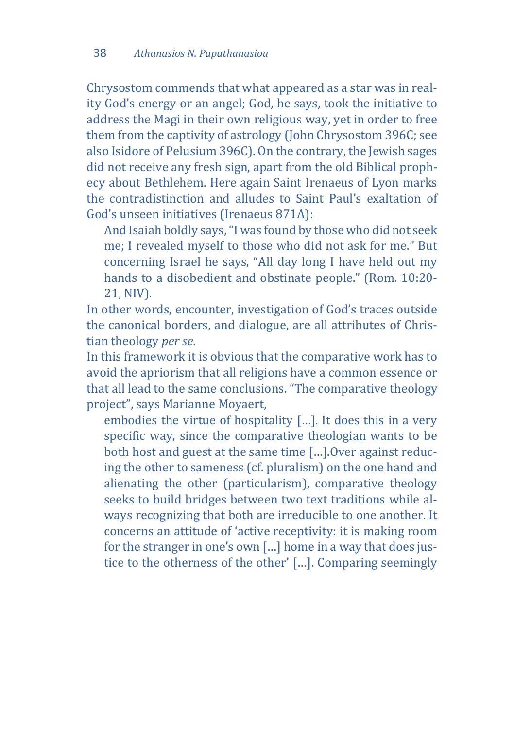Chrysostom commends that what appeared as a star was in reality God's energy or an angel; God, he says, took the initiative to address the Magi in their own religious way, yet in order to free them from the captivity of astrology (John Chrysostom 396C; see also Isidore of Pelusium 396C). On the contrary, the Jewish sages did not receive any fresh sign, apart from the old Biblical prophecy about Bethlehem. Here again Saint Irenaeus of Lyon marks the contradistinction and alludes to Saint Paul's exaltation of God's unseen initiatives (Irenaeus 871A):

And Isaiah boldly says, "I was found by those who did not seek me; I revealed myself to those who did not ask for me." But concerning Israel he says, "All day long I have held out my hands to a disobedient and obstinate people." (Rom. 10:20- 21, NIV).

In other words, encounter, investigation of God's traces outside the canonical borders, and dialogue, are all attributes of Christian theology *per se*.

In this framework it is obvious that the comparative work has to avoid the apriorism that all religions have a common essence or that all lead to the same conclusions. "The comparative theology project", says Marianne Moyaert,

embodies the virtue of hospitality […]. It does this in a very specific way, since the comparative theologian wants to be both host and guest at the same time […].Over against reducing the other to sameness (cf. pluralism) on the one hand and alienating the other (particularism), comparative theology seeks to build bridges between two text traditions while always recognizing that both are irreducible to one another. It concerns an attitude of 'active receptivity: it is making room for the stranger in one's own […] home in a way that does justice to the otherness of the other' […]. Comparing seemingly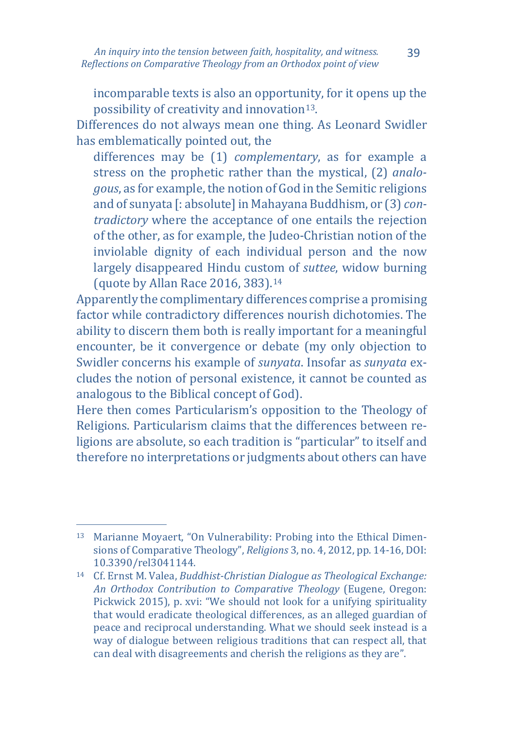incomparable texts is also an opportunity, for it opens up the possibility of creativity and innovation<sup>13</sup>.

Differences do not always mean one thing. As Leonard Swidler has emblematically pointed out, the

differences may be (1) *complementary*, as for example a stress on the prophetic rather than the mystical, (2) *analogous*, as for example, the notion of God in the Semitic religions and of sunyata [: absolute] in Mahayana Buddhism, or (3) *contradictory* where the acceptance of one entails the rejection of the other, as for example, the Judeo-Christian notion of the inviolable dignity of each individual person and the now largely disappeared Hindu custom of *suttee*, widow burning (quote by Allan Race 2016, 383).[14](#page-12-1)

Apparently the complimentary differences comprise a promising factor while contradictory differences nourish dichotomies. The ability to discern them both is really important for a meaningful encounter, be it convergence or debate (my only objection to Swidler concerns his example of *sunyata*. Insofar as *sunyata* excludes the notion of personal existence, it cannot be counted as analogous to the Biblical concept of God).

Here then comes Particularism's opposition to the Theology of Religions. Particularism claims that the differences between religions are absolute, so each tradition is "particular" to itself and therefore no interpretations or judgments about others can have

<span id="page-12-0"></span>j <sup>13</sup> Marianne Moyaert, "On Vulnerability: Probing into the Ethical Dimensions of Comparative Theology", *Religions* 3, no. 4, 2012, pp. 14-16, DOI: 10.3390/rel3041144.

<span id="page-12-1"></span><sup>14</sup> Cf. Ernst M. Valea, *Buddhist-Christian Dialogue as Theological Exchange: An Orthodox Contribution to Comparative Theology* (Eugene, Oregon: Pickwick 2015), p. xvi: "We should not look for a unifying spirituality that would eradicate theological differences, as an alleged guardian of peace and reciprocal understanding. What we should seek instead is a way of dialogue between religious traditions that can respect all, that can deal with disagreements and cherish the religions as they are".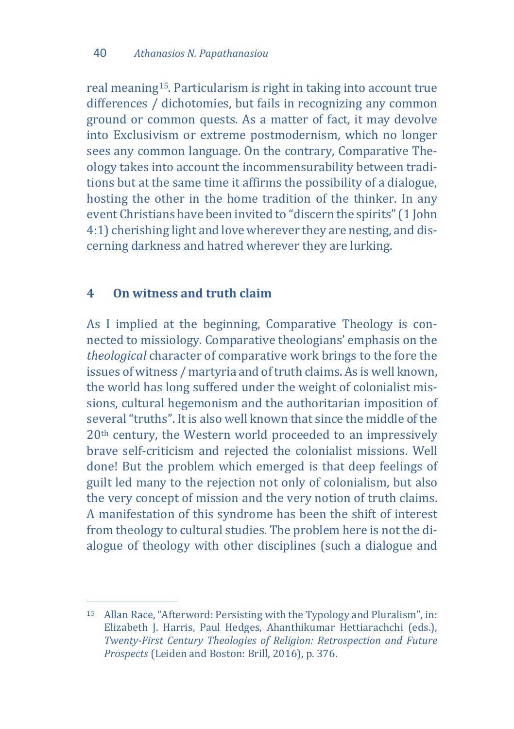real meaning[15.](#page-13-0) Particularism is right in taking into account true differences / dichotomies, but fails in recognizing any common ground or common quests. As a matter of fact, it may devolve into Exclusivism or extreme postmodernism, which no longer sees any common language. On the contrary, Comparative Theology takes into account the incommensurability between traditions but at the same time it affirms the possibility of a dialogue, hosting the other in the home tradition of the thinker. In any event Christians have been invited to "discern the spirits" (1 John 4:1) cherishing light and love wherever they are nesting, and discerning darkness and hatred wherever they are lurking.

### **4 On witness and truth claim**

As I implied at the beginning, Comparative Theology is connected to missiology. Comparative theologians' emphasis on the *theological* character of comparative work brings to the fore the issues of witness / martyria and of truth claims. As is well known, the world has long suffered under the weight of colonialist missions, cultural hegemonism and the authoritarian imposition of several "truths". It is also well known that since the middle of the 20th century, the Western world proceeded to an impressively brave self-criticism and rejected the colonialist missions. Well done! But the problem which emerged is that deep feelings of guilt led many to the rejection not only of colonialism, but also the very concept of mission and the very notion of truth claims. A manifestation of this syndrome has been the shift of interest from theology to cultural studies. The problem here is not the dialogue of theology with other disciplines (such a dialogue and

<span id="page-13-0"></span>j <sup>15</sup> Allan Race, "Afterword: Persisting with the Typology and Pluralism", in: Elizabeth J. Harris, Paul Hedges, Ahanthikumar Hettiarachchi (eds.), *Twenty-First Century Theologies of Religion: Retrospection and Future Prospects* (Leiden and Boston: Brill, 2016), p. 376.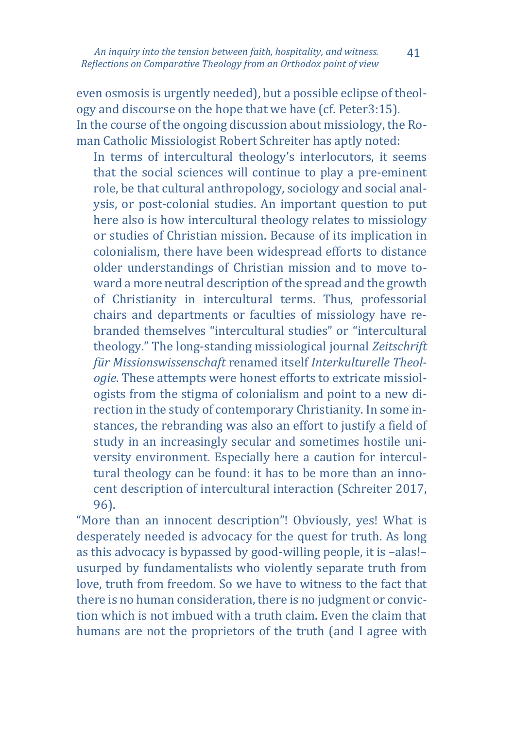even osmosis is urgently needed), but a possible eclipse of theology and discourse on the hope that we have (cf. Peter3:15). In the course of the ongoing discussion about missiology, the Roman Catholic Missiologist Robert Schreiter has aptly noted:

In terms of intercultural theology's interlocutors, it seems that the social sciences will continue to play a pre-eminent role, be that cultural anthropology, sociology and social analysis, or post-colonial studies. An important question to put here also is how intercultural theology relates to missiology or studies of Christian mission. Because of its implication in colonialism, there have been widespread efforts to distance older understandings of Christian mission and to move toward a more neutral description of the spread and the growth of Christianity in intercultural terms. Thus, professorial chairs and departments or faculties of missiology have rebranded themselves "intercultural studies" or "intercultural theology." The long-standing missiological journal *Zeitschrift für Missionswissenschaft* renamed itself *Interkulturelle Theologie*. These attempts were honest efforts to extricate missiologists from the stigma of colonialism and point to a new direction in the study of contemporary Christianity. In some instances, the rebranding was also an effort to justify a field of study in an increasingly secular and sometimes hostile university environment. Especially here a caution for intercultural theology can be found: it has to be more than an innocent description of intercultural interaction (Schreiter 2017, 96).

"More than an innocent description"! Obviously, yes! What is desperately needed is advocacy for the quest for truth. As long as this advocacy is bypassed by good-willing people, it is –alas!– usurped by fundamentalists who violently separate truth from love, truth from freedom. So we have to witness to the fact that there is no human consideration, there is no judgment or conviction which is not imbued with a truth claim. Even the claim that humans are not the proprietors of the truth (and I agree with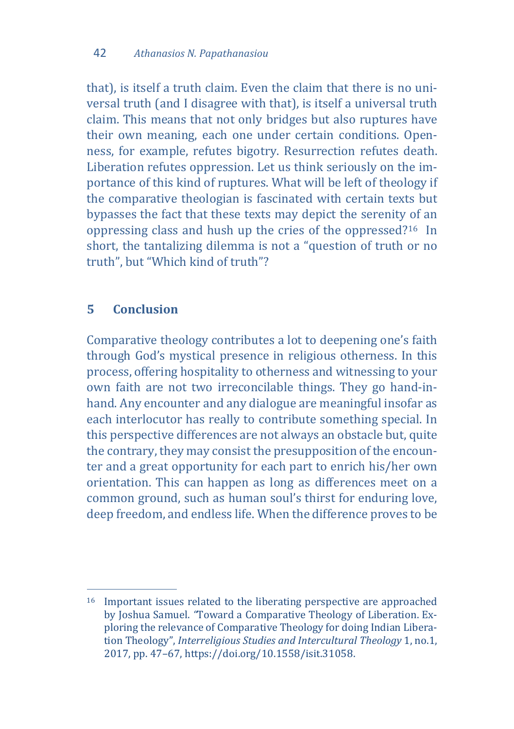that), is itself a truth claim. Even the claim that there is no universal truth (and I disagree with that), is itself a universal truth claim. This means that not only bridges but also ruptures have their own meaning, each one under certain conditions. Openness, for example, refutes bigotry. Resurrection refutes death. Liberation refutes oppression. Let us think seriously on the importance of this kind of ruptures. What will be left of theology if the comparative theologian is fascinated with certain texts but bypasses the fact that these texts may depict the serenity of an oppressing class and hush up the cries of the oppressed?[16](#page-15-0) In short, the tantalizing dilemma is not a "question of truth or no truth", but "Which kind of truth"?

### **5 Conclusion**

Comparative theology contributes a lot to deepening one's faith through God's mystical presence in religious otherness. In this process, offering hospitality to otherness and witnessing to your own faith are not two irreconcilable things. They go hand-inhand. Any encounter and any dialogue are meaningful insofar as each interlocutor has really to contribute something special. In this perspective differences are not always an obstacle but, quite the contrary, they may consist the presupposition of the encounter and a great opportunity for each part to enrich his/her own orientation. This can happen as long as differences meet on a common ground, such as human soul's thirst for enduring love, deep freedom, and endless life. When the difference proves to be

<span id="page-15-0"></span>j <sup>16</sup> Important issues related to the liberating perspective are approached by Joshua Samuel. *"*Toward a Comparative Theology of Liberation. Exploring the relevance of Comparative Theology for doing Indian Liberation Theology", *Interreligious Studies and Intercultural Theology* 1, no.1, 2017, pp. 47–67, https://doi.org/10.1558/isit.31058.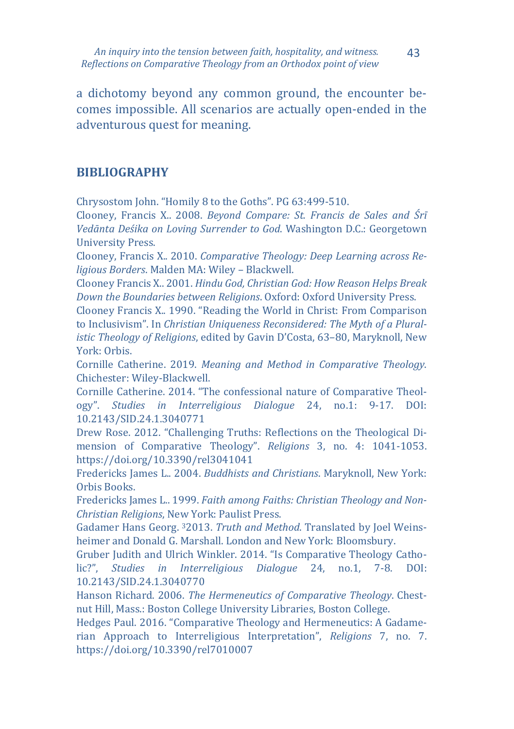a dichotomy beyond any common ground, the encounter becomes impossible. All scenarios are actually open-ended in the adventurous quest for meaning.

### **BIBLIOGRAPHY**

Chrysostom John. "Homily 8 to the Goths". PG 63:499-510.

Clooney, Francis X.. 2008. *Beyond Compare: St. Francis de Sales and Śrī Vedānta Deśika on Loving Surrender to God*. Washington D.C.: Georgetown University Press.

Clooney, Francis X.. 2010. *Comparative Theology: Deep Learning across Religious Borders*. Malden MA: Wiley – Blackwell.

Clooney Francis X.. 2001. *Hindu God, Christian God: How Reason Helps Break Down the Boundaries between Religions*. Oxford: Oxford University Press.

Clooney Francis X.. 1990. "Reading the World in Christ: From Comparison to Inclusivism". In *Christian Uniqueness Reconsidered: The Myth of a Pluralistic Theology of Religions*, edited by Gavin D'Costa, 63–80, Maryknoll, New York: Orbis.

Cornille Catherine. 2019. *Meaning and Method in Comparative Theology*. Chichester: Wiley-Blackwell.

Cornille Catherine. 2014. "The confessional nature of Comparative Theology". *Studies in Interreligious Dialogue* 24, no.1: 9-17. DOI: 10.2143/SID.24.1.3040771

Drew Rose. 2012. "Challenging Truths: Reflections on the Theological Dimension of Comparative Theology". *Religions* 3, no. 4: 1041-1053. https://doi.org/10.3390/rel3041041

Fredericks James L.. 2004. *Buddhists and Christians*. Maryknoll, New York: Orbis Books.

Fredericks James L.. 1999. *Faith among Faiths: Christian Theology and Non-Christian Religions*, New York: Paulist Press.

Gadamer Hans Georg. 32013. *Truth and Method*. Translated by Joel Weinsheimer and Donald G. Marshall. London and New York: Bloomsbury.

Gruber Judith and Ulrich Winkler. 2014. "Is Comparative Theology Catholic?", *Studies in Interreligious Dialogue* 24, no.1, 7-8. DOI: 10.2143/SID.24.1.3040770

Hanson Richard. 2006. *The Hermeneutics of Comparative Theology*. Chestnut Hill, Mass.: Boston College University Libraries, Boston College.

Hedges Paul. 2016. "Comparative Theology and Hermeneutics: A Gadamerian Approach to Interreligious Interpretation", *Religions* 7, no. 7. https://doi.org/10.3390/rel7010007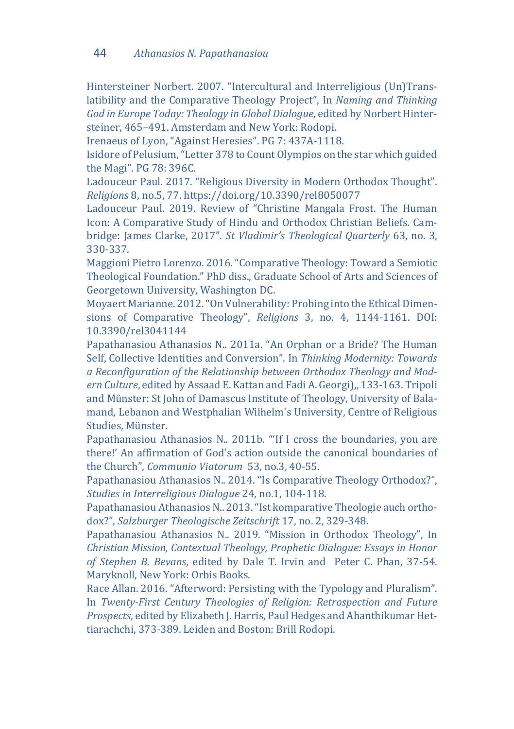Hintersteiner Norbert. 2007. "Intercultural and Interreligious (Un)Translatibility and the Comparative Theology Project", In *Naming and Thinking God in Europe Today: Theology in Global Dialogue*, edited by Norbert Hintersteiner, 465–491. Amsterdam and New York: Rodopi.

Irenaeus of Lyon, "Against Heresies". PG 7: 437A-1118.

Isidore of Pelusium, "Letter 378 to Count Olympios on the star which guided the Magi". PG 78: 396C.

Ladouceur Paul. 2017. "Religious Diversity in Modern Orthodox Thought". *Religions* 8, no.5, 77. https://doi.org/10.3390/rel8050077

Ladouceur Paul. 2019. Review of "Christine Mangala Frost. The Human Icon: A Comparative Study of Hindu and Orthodox Christian Beliefs*.* Cambridge: James Clarke, 2017". *St Vladimir's Theological Quarterly* 63, no. 3, 330-337.

Maggioni Pietro Lorenzo. 2016. "Comparative Theology: Toward a Semiotic Theological Foundation." PhD diss., Graduate School of Arts and Sciences of Georgetown University, Washington DC.

Moyaert Marianne. 2012. "On Vulnerability: Probing into the Ethical Dimensions of Comparative Theology", *Religions* 3, no. 4, 1144-1161. DOI: 10.3390/rel3041144

Papathanasiou Athanasios N.. 2011a. "Αn Orphan or a Bride? The Human Self, Collective Identities and Conversion". In *Thinking Modernity: Towards a Reconfiguration of the Relationship between Orthodox Theology and Modern Culture*, edited by Assaad E. Kattan and Fadi A. Georgi),, 133-163. Tripoli and Münster: St John of Damascus Institute of Theology, University of Balamand, Lebanon and Westphalian Wilhelm's University, Centre of Religious Studies, Münster.

Papathanasiou Athanasios N.. 2011b. "'If I cross the boundaries, you are there!' An affirmation of God's action outside the canonical boundaries of the Church", *Communio Viatorum* 53, no.3, 40-55.

Papathanasiou Athanasios N.. 2014. "Is Comparative Theology Orthodox?", *Studies in Interreligious Dialogue* 24, no.1, 104-118.

Papathanasiou Athanasios N.. 2013. "Ist komparative Theologie auch orthodox?", *Salzburger Theologische Zeitschrift* 17, no. 2, 329-348.

Papathanasiou Athanasios N.. 2019. "Mission in Orthodox Theology", In *Christian Mission, Contextual Theology, Prophetic Dialogue: Essays in Honor of Stephen B. Bevans*, edited by Dale T. Irvin and Peter C. Phan, 37-54. Maryknoll, New York: Orbis Books.

Race Allan. 2016. "Afterword: Persisting with the Typology and Pluralism". In *Twenty-First Century Theologies of Religion: Retrospection and Future Prospects*, edited by Elizabeth J. Harris, Paul Hedges and Ahanthikumar Hettiarachchi, 373-389. Leiden and Boston: Brill Rodopi.